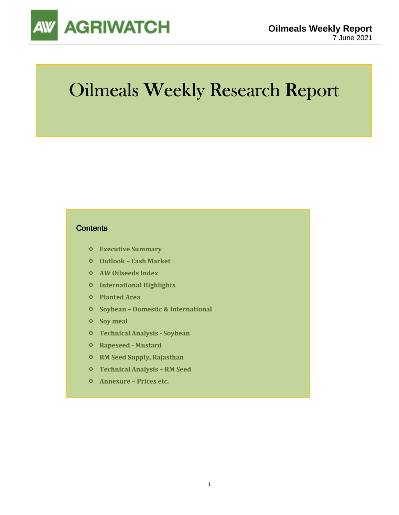

# Oilmeals Weekly Research Report

#### **Contents**

- **Executive Summary**
- **Outlook Cash Market**
- **AW Oilseeds Index**
- **International Highlights**
- **Planted Area**
- **Soybean Domestic & International**
- **Soy meal**
- **Technical Analysis Soybean**
- **Rapeseed Mustard**
- **RM Seed Supply, Rajasthan**
- **Technical Analysis RM Seed**
- **Annexure Prices etc.**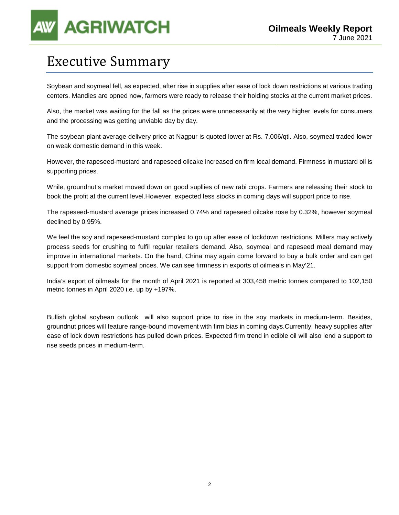### Executive Summary

Soybean and soymeal fell, as expected, after rise in supplies after ease of lock down restrictions at various trading centers. Mandies are opned now, farmers were ready to release their holding stocks at the current market prices.

Also, the market was waiting for the fall as the prices were unnecessarily at the very higher levels for consumers and the processing was getting unviable day by day.

The soybean plant average delivery price at Nagpur is quoted lower at Rs. 7,006/qtl. Also, soymeal traded lower on weak domestic demand in this week.

However, the rapeseed-mustard and rapeseed oilcake increased on firm local demand. Firmness in mustard oil is supporting prices.

While, groundnut's market moved down on good supllies of new rabi crops. Farmers are releasing their stock to book the profit at the current level.However, expected less stocks in coming days will support price to rise.

The rapeseed-mustard average prices increased 0.74% and rapeseed oilcake rose by 0.32%, however soymeal declined by 0.95%.

We feel the soy and rapeseed-mustard complex to go up after ease of lockdown restrictions. Millers may actively process seeds for crushing to fulfil regular retailers demand. Also, soymeal and rapeseed meal demand may improve in international markets. On the hand, China may again come forward to buy a bulk order and can get support from domestic soymeal prices. We can see firmness in exports of oilmeals in May'21.

India's export of oilmeals for the month of April 2021 is reported at 303,458 metric tonnes compared to 102,150 metric tonnes in April 2020 i.e. up by +197%.

Bullish global soybean outlook will also support price to rise in the soy markets in medium-term. Besides, groundnut prices will feature range-bound movement with firm bias in coming days.Currently, heavy supplies after ease of lock down restrictions has pulled down prices. Expected firm trend in edible oil will also lend a support to rise seeds prices in medium-term.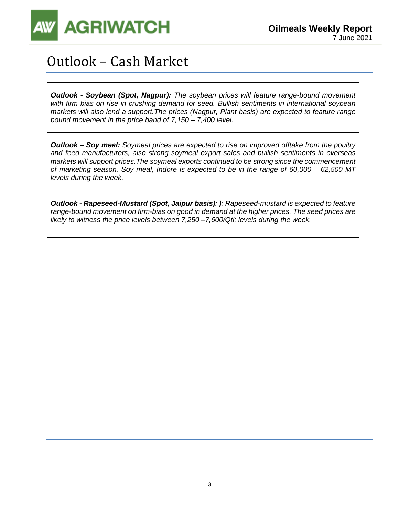

## Outlook – Cash Market

**Outlook - Soybean (Spot, Nagpur):** The soybean prices will feature range-bound movement with firm bias on rise in crushing demand for seed. Bullish sentiments in international soybean markets will also lend a support.The prices (Nagpur, Plant basis) are expected to feature range bound movement in the price band of 7,150 – 7,400 level.

**Outlook – Soy meal:** Soymeal prices are expected to rise on improved offtake from the poultry and feed manufacturers, also strong soymeal export sales and bullish sentiments in overseas markets will support prices.The soymeal exports continued to be strong since the commencement of marketing season. Soy meal, Indore is expected to be in the range of 60,000 – 62,500 MT levels during the week.

**Outlook - Rapeseed-Mustard (Spot, Jaipur basis)**: **)**: Rapeseed-mustard is expected to feature range-bound movement on firm-bias on good in demand at the higher prices. The seed prices are likely to witness the price levels between 7,250 –7,600/Qtl; levels during the week.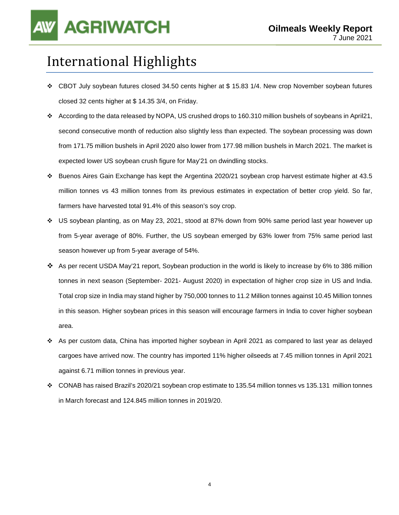## International Highlights

- CBOT July soybean futures closed 34.50 cents higher at \$ 15.83 1/4. New crop November soybean futures closed 32 cents higher at \$ 14.35 3/4, on Friday.
- According to the data released by NOPA, US crushed drops to 160.310 million bushels of soybeans in April21, second consecutive month of reduction also slightly less than expected. The soybean processing was down from 171.75 million bushels in April 2020 also lower from 177.98 million bushels in March 2021. The market is expected lower US soybean crush figure for May'21 on dwindling stocks.
- Buenos Aires Gain Exchange has kept the Argentina 2020/21 soybean crop harvest estimate higher at 43.5 million tonnes vs 43 million tonnes from its previous estimates in expectation of better crop yield. So far, farmers have harvested total 91.4% of this season's soy crop.
- US soybean planting, as on May 23, 2021, stood at 87% down from 90% same period last year however up from 5-year average of 80%. Further, the US soybean emerged by 63% lower from 75% same period last season however up from 5-year average of 54%.
- As per recent USDA May'21 report, Soybean production in the world is likely to increase by 6% to 386 million tonnes in next season (September- 2021- August 2020) in expectation of higher crop size in US and India. Total crop size in India may stand higher by 750,000 tonnes to 11.2 Million tonnes against 10.45 Million tonnes in this season. Higher soybean prices in this season will encourage farmers in India to cover higher soybean area.
- As per custom data, China has imported higher soybean in April 2021 as compared to last year as delayed cargoes have arrived now. The country has imported 11% higher oilseeds at 7.45 million tonnes in April 2021 against 6.71 million tonnes in previous year.
- CONAB has raised Brazil's 2020/21 soybean crop estimate to 135.54 million tonnes vs 135.131 million tonnes in March forecast and 124.845 million tonnes in 2019/20.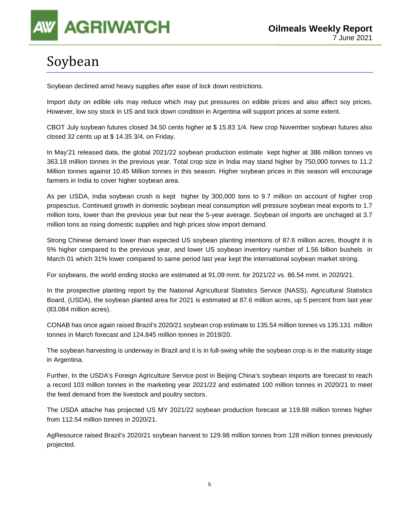

## Soybean

Soybean declined amid heavy supplies after ease of lock down restrictions.

Import duty on edible oils may reduce which may put pressures on edible prices and also affect soy prices. However, low soy stock in US and lock down condition in Argentina will support prices at some extent.

CBOT July soybean futures closed 34.50 cents higher at \$ 15.83 1/4. New crop November soybean futures also closed 32 cents up at \$ 14.35 3/4, on Friday.

In May'21 released data, the global 2021/22 soybean production estimate kept higher at 386 million tonnes vs 363.18 million tonnes in the previous year. Total crop size in India may stand higher by 750,000 tonnes to 11.2 Million tonnes against 10.45 Million tonnes in this season. Higher soybean prices in this season will encourage farmers in India to cover higher soybean area.

As per USDA, India soybean crush is kept higher by 300,000 tons to 9.7 million on account of higher crop propesctus. Continued growth in domestic soybean meal consumption will pressure soybean meal exports to 1.7 million tons, lower than the previous year but near the 5-year average. Soybean oil imports are unchaged at 3.7 million tons as rising domestic supplies and high prices slow import demand.

Strong Chinese demand lower than expected US soybean planting intentions of 87.6 million acres, thought it is 5% higher compared to the previous year, and lower US soybean inventory number of 1.56 billion bushels in March 01 which 31% lower compared to same period last year kept the international soybean market strong.

For soybeans, the world ending stocks are estimated at 91.09 mmt. for 2021/22 vs. 86.54 mmt. in 2020/21.

In the prospective planting report by the National Agricultural Statistics Service (NASS), Agricultural Statistics Board, (USDA), the soybean planted area for 2021 is estimated at 87.6 million acres, up 5 percent from last year (83.084 million acres).

CONAB has once again raised Brazil's 2020/21 soybean crop estimate to 135.54 million tonnes vs 135.131 million tonnes in March forecast and 124.845 million tonnes in 2019/20.

The soybean harvesting is underway in Brazil and it is in full-swing while the soybean crop is in the maturity stage in Argentina.

Further, In the USDA's Foreign Agriculture Service post in Beijing China's soybean imports are forecast to reach a record 103 million tonnes in the marketing year 2021/22 and estimated 100 million tonnes in 2020/21 to meet the feed demand from the livestock and poultry sectors.

The USDA attache has projected US MY 2021/22 soybean production forecast at 119.88 million tonnes higher from 112.54 million tonnes in 2020/21.

AgResource raised Brazil's 2020/21 soybean harvest to 129.98 million tonnes from 128 million tonnes previously projected.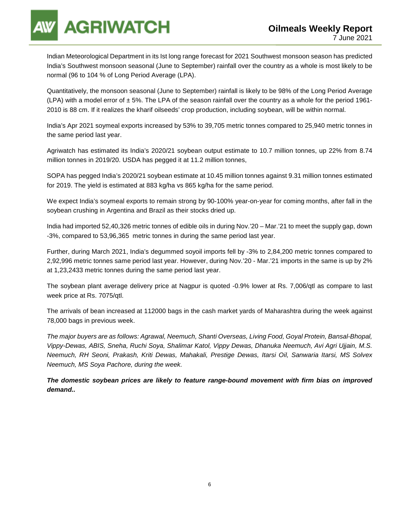**AGRIWATCH** 

Indian Meteorological Department in its Ist long range forecast for 2021 Southwest monsoon season has predicted India's Southwest monsoon seasonal (June to September) rainfall over the country as a whole is most likely to be normal (96 to 104 % of Long Period Average (LPA).

Quantitatively, the monsoon seasonal (June to September) rainfall is likely to be 98% of the Long Period Average (LPA) with a model error of  $\pm$  5%. The LPA of the season rainfall over the country as a whole for the period 1961-2010 is 88 cm. If it realizes the kharif oilseeds' crop production, including soybean, will be within normal.

India's Apr 2021 soymeal exports increased by 53% to 39,705 metric tonnes compared to 25,940 metric tonnes in the same period last year.

Agriwatch has estimated its India's 2020/21 soybean output estimate to 10.7 million tonnes, up 22% from 8.74 million tonnes in 2019/20. USDA has pegged it at 11.2 million tonnes,

SOPA has pegged India's 2020/21 soybean estimate at 10.45 million tonnes against 9.31 million tonnes estimated for 2019. The yield is estimated at 883 kg/ha vs 865 kg/ha for the same period.

We expect India's soymeal exports to remain strong by 90-100% year-on-year for coming months, after fall in the soybean crushing in Argentina and Brazil as their stocks dried up.

India had imported 52,40,326 metric tonnes of edible oils in during Nov.'20 – Mar.'21 to meet the supply gap, down -3%, compared to 53,96,365 metric tonnes in during the same period last year.

Further, during March 2021, India's degummed soyoil imports fell by -3% to 2,84,200 metric tonnes compared to 2,92,996 metric tonnes same period last year. However, during Nov.'20 - Mar.'21 imports in the same is up by 2% at 1,23,2433 metric tonnes during the same period last year.

The soybean plant average delivery price at Nagpur is quoted -0.9% lower at Rs. 7,006/qtl as compare to last week price at Rs. 7075/qtl.

The arrivals of bean increased at 112000 bags in the cash market yards of Maharashtra during the week against 78,000 bags in previous week.

The major buyers are as follows: Agrawal, Neemuch, Shanti Overseas, Living Food, Goyal Protein, Bansal-Bhopal, Vippy-Dewas, ABIS, Sneha, Ruchi Soya, Shalimar Katol, Vippy Dewas, Dhanuka Neemuch, Avi Agri Ujjain, M.S. Neemuch, RH Seoni, Prakash, Kriti Dewas, Mahakali, Prestige Dewas, Itarsi Oil, Sanwaria Itarsi, MS Solvex Neemuch, MS Soya Pachore, during the week.

**The domestic soybean prices are likely to feature range-bound movement with firm bias on improved demand..**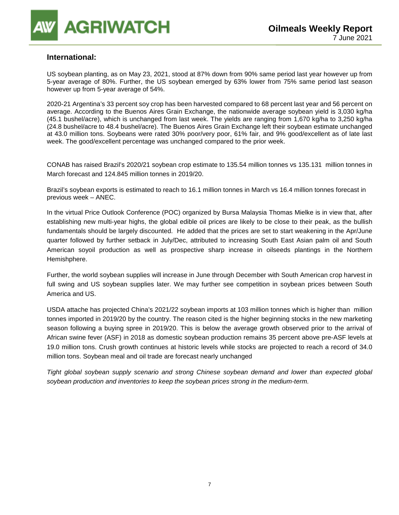

#### **International:**

US soybean planting, as on May 23, 2021, stood at 87% down from 90% same period last year however up from 5-year average of 80%. Further, the US soybean emerged by 63% lower from 75% same period last season however up from 5-year average of 54%.

2020-21 Argentina's 33 percent soy crop has been harvested compared to 68 percent last year and 56 percent on average. According to the Buenos Aires Grain Exchange, the nationwide average soybean yield is 3,030 kg/ha (45.1 bushel/acre), which is unchanged from last week. The yields are ranging from 1,670 kg/ha to 3,250 kg/ha (24.8 bushel/acre to 48.4 bushel/acre). The Buenos Aires Grain Exchange left their soybean estimate unchanged at 43.0 million tons. Soybeans were rated 30% poor/very poor, 61% fair, and 9% good/excellent as of late last week. The good/excellent percentage was unchanged compared to the prior week.

CONAB has raised Brazil's 2020/21 soybean crop estimate to 135.54 million tonnes vs 135.131 million tonnes in March forecast and 124.845 million tonnes in 2019/20.

Brazil's soybean exports is estimated to reach to 16.1 million tonnes in March vs 16.4 million tonnes forecast in previous week – ANEC.

In the virtual Price Outlook Conference (POC) organized by Bursa Malaysia Thomas Mielke is in view that, after establishing new multi-year highs, the global edible oil prices are likely to be close to their peak, as the bullish fundamentals should be largely discounted. He added that the prices are set to start weakening in the Apr/June quarter followed by further setback in July/Dec, attributed to increasing South East Asian palm oil and South American soyoil production as well as prospective sharp increase in oilseeds plantings in the Northern Hemishphere.

Further, the world soybean supplies will increase in June through December with South American crop harvest in full swing and US soybean supplies later. We may further see competition in soybean prices between South America and US.

USDA attache has projected China's 2021/22 soybean imports at 103 million tonnes which is higher than million tonnes imported in 2019/20 by the country. The reason cited is the higher beginning stocks in the new marketing season following a buying spree in 2019/20. This is below the average growth observed prior to the arrival of African swine fever (ASF) in 2018 as domestic soybean production remains 35 percent above pre-ASF levels at 19.0 million tons. Crush growth continues at historic levels while stocks are projected to reach a record of 34.0 million tons. Soybean meal and oil trade are forecast nearly unchanged

Tight global soybean supply scenario and strong Chinese soybean demand and lower than expected global soybean production and inventories to keep the soybean prices strong in the medium-term.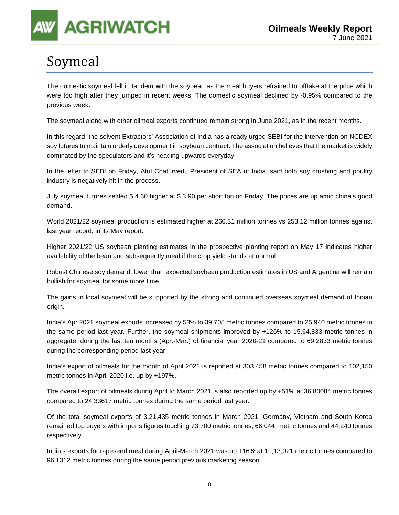# **AGRIWATCH**

# Soymeal

The domestic soymeal fell in tandem with the soybean as the meal buyers refrained to offtake at the price which were too high after they jumped in recent weeks. The domestic soymeal declined by -0.95% compared to the previous week.

The soymeal along with other oilmeal exports continued remain strong in June 2021, as in the recent months.

In this regard, the solvent Extractors' Association of India has already urged SEBI for the intervention on NCDEX soy futures to maintain orderly development in soybean contract. The association believes that the market is widely dominated by the speculators and it's heading upwards everyday.

In the letter to SEBI on Friday, Atul Chaturvedi, President of SEA of India, said both soy crushing and poultry industry is negatively hit in the process.

July soymeal futures settled \$ 4.60 higher at \$ 3.90 per short ton,on Friday. The prices are up amid china's good demand.

World 2021/22 soymeal production is estimated higher at 260.31 million tonnes vs 253.12 million tonnes against last year record, in its May report.

Higher 2021/22 US soybean planting estimates in the prospective planting report on May 17 indicates higher availability of the bean and subsequently meal if the crop yield stands at normal.

Robust Chinese soy demand, lower than expected soybean production estimates in US and Argentina will remain bullish for soymeal for some more time.

The gains in local soymeal will be supported by the strong and continued overseas soymeal demand of Indian origin.

India's Apr 2021 soymeal exports increased by 53% to 39,705 metric tonnes compared to 25,940 metric tonnes in the same period last year. Further, the soymeal shipments improved by +126% to 15,64,833 metric tonnes in aggregate, during the last ten months (Apr.-Mar.) of financial year 2020-21 compared to 69,2833 metric tonnes during the corresponding period last year.

India's export of oilmeals for the month of April 2021 is reported at 303,458 metric tonnes compared to 102,150 metric tonnes in April 2020 i.e. up by +197%.

The overall export of oilmeals during April to March 2021 is also reported up by +51% at 36,80084 metric tonnes compared to 24,33617 metric tonnes during the same period last year.

Of the total soymeal exports of 3,21,435 metric tonnes in March 2021, Germany, Vietnam and South Korea remained top buyers with imports figures touching 73,700 metric tonnes, 66,044 metric tonnes and 44,240 tonnes respectively.

India's exports for rapeseed meal during April-March 2021 was up +16% at 11,13,021 metric tonnes compared to 96,1312 metric tonnes during the same period previous marketing season.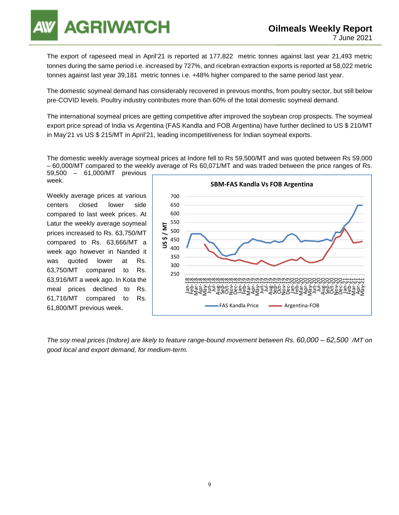**GRIWATCH** 

The export of rapeseed meal in April'21 is reported at 177,822 metric tonnes against last year 21,493 metric tonnes during the same period i.e. increased by 727%, and ricebran extraction exports is reported at 58,022 metric tonnes against last year 39,181 metric tonnes i.e. +48% higher compared to the same period last year.

The domestic soymeal demand has considerably recovered in prevous months, from poultry sector, but still below pre-COVID levels. Poultry industry contributes more than 60% of the total domestic soymeal demand.

The international soymeal prices are getting competitive after improved the soybean crop prospects. The soymeal export price spread of India vs Argentina (FAS Kandla and FOB Argentina) have further declined to US \$ 210/MT in May'21 vs US \$ 215/MT in April'21, leading incompetitiveness for Indian soymeal exports.

The domestic weekly average soymeal prices at Indore fell to Rs 59,500/MT and was quoted between Rs 59,000 – 60,000/MT compared to the weekly average of Rs 60,071/MT and was traded between the price ranges of Rs.

59,500 – 61,000/MT previous week.

Weekly average prices at various centers closed lower side compared to last week prices. At Latur the weekly average soymeal prices increased to Rs. 63,750/MT compared to Rs. 63,666/MT a week ago however in Nanded it was quoted lower at Rs. 63,750/MT compared to Rs. 63,916/MT a week ago. In Kota the meal prices declined to Rs. 61,716/MT compared to Rs. 61,800/MT previous week.



The soy meal prices (Indore) are likely to feature range-bound movement between Rs. 60,000 – 62,500 /MT on good local and export demand, for medium-term.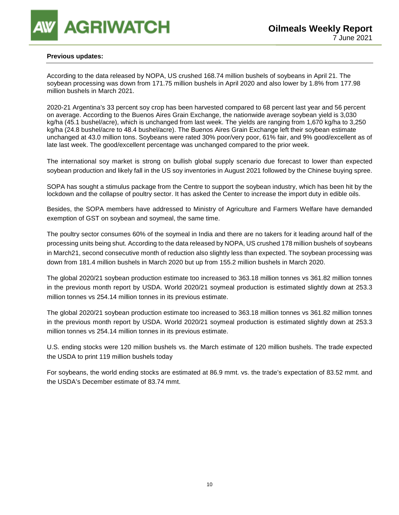

#### **Previous updates:**

According to the data released by NOPA, US crushed 168.74 million bushels of soybeans in April 21. The soybean processing was down from 171.75 million bushels in April 2020 and also lower by 1.8% from 177.98 million bushels in March 2021.

2020-21 Argentina's 33 percent soy crop has been harvested compared to 68 percent last year and 56 percent on average. According to the Buenos Aires Grain Exchange, the nationwide average soybean yield is 3,030 kg/ha (45.1 bushel/acre), which is unchanged from last week. The yields are ranging from 1,670 kg/ha to 3,250 kg/ha (24.8 bushel/acre to 48.4 bushel/acre). The Buenos Aires Grain Exchange left their soybean estimate unchanged at 43.0 million tons. Soybeans were rated 30% poor/very poor, 61% fair, and 9% good/excellent as of late last week. The good/excellent percentage was unchanged compared to the prior week.

The international soy market is strong on bullish global supply scenario due forecast to lower than expected soybean production and likely fall in the US soy inventories in August 2021 followed by the Chinese buying spree.

SOPA has sought a stimulus package from the Centre to support the soybean industry, which has been hit by the lockdown and the collapse of poultry sector. It has asked the Center to increase the import duty in edible oils.

Besides, the SOPA members have addressed to Ministry of Agriculture and Farmers Welfare have demanded exemption of GST on soybean and soymeal, the same time.

The poultry sector consumes 60% of the soymeal in India and there are no takers for it leading around half of the processing units being shut. According to the data released by NOPA, US crushed 178 million bushels of soybeans in March21, second consecutive month of reduction also slightly less than expected. The soybean processing was down from 181.4 million bushels in March 2020 but up from 155.2 million bushels in March 2020.

The global 2020/21 soybean production estimate too increased to 363.18 million tonnes vs 361.82 million tonnes in the previous month report by USDA. World 2020/21 soymeal production is estimated slightly down at 253.3 million tonnes vs 254.14 million tonnes in its previous estimate.

The global 2020/21 soybean production estimate too increased to 363.18 million tonnes vs 361.82 million tonnes in the previous month report by USDA. World 2020/21 soymeal production is estimated slightly down at 253.3 million tonnes vs 254.14 million tonnes in its previous estimate.

U.S. ending stocks were 120 million bushels vs. the March estimate of 120 million bushels. The trade expected the USDA to print 119 million bushels today

For soybeans, the world ending stocks are estimated at 86.9 mmt. vs. the trade's expectation of 83.52 mmt. and the USDA's December estimate of 83.74 mmt.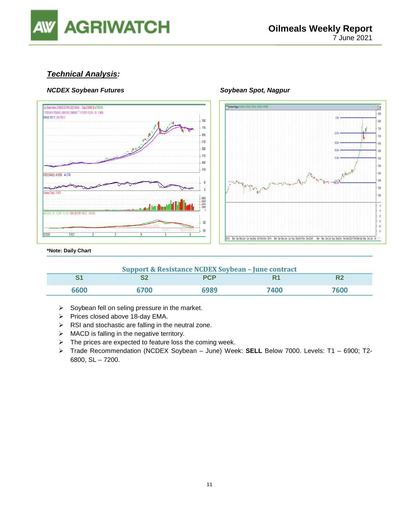

#### **Technical Analysis:**

#### **NCDEX Soybean Futures Soybean Spot, Nagpur**  Soybean Spot, Nagpur





**\*Note: Daily Chart**

| <b>Support &amp; Resistance NCDEX Soybean - June contract</b> |      |            |      |      |  |
|---------------------------------------------------------------|------|------------|------|------|--|
|                                                               | e.   | <b>PCP</b> |      |      |  |
| 6600                                                          | 6700 | 6989       | 7400 | 7600 |  |

- $\triangleright$  Soybean fell on seling pressure in the market.
- $\triangleright$  Prices closed above 18-day EMA.
- $\triangleright$  RSI and stochastic are falling in the neutral zone.
- $\triangleright$  MACD is falling in the negative territory.
- $\triangleright$  The prices are expected to feature loss the coming week.
- Trade Recommendation (NCDEX Soybean June) Week: **SELL** Below 7000. Levels: T1 6900; T2- 6800, SL – 7200.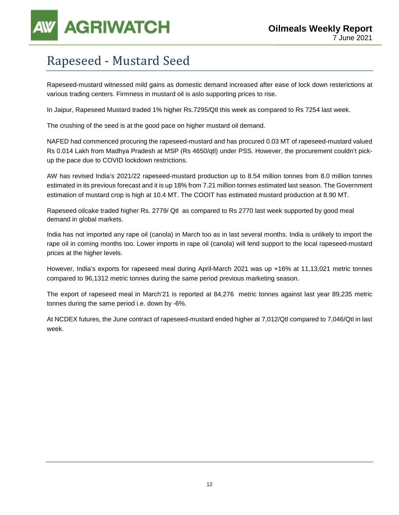

### Rapeseed - Mustard Seed

Rapeseed-mustard witnessed mild gains as domestic demand increased after ease of lock down resterictions at various trading centers. Firmness in mustard oil is aslo supporting prices to rise.

In Jaipur, Rapeseed Mustard traded 1% higher Rs.7295/Qtl this week as compared to Rs 7254 last week.

The crushing of the seed is at the good pace on higher mustard oil demand.

NAFED had commenced procuring the rapeseed-mustard and has procured 0.03 MT of rapeseed-mustard valued Rs 0.014 Lakh from Madhya Pradesh at MSP (Rs 4650/qtl) under PSS. However, the procurement couldn't pickup the pace due to COVID lockdown restrictions.

AW has revised India's 2021/22 rapeseed-mustard production up to 8.54 million tonnes from 8.0 million tonnes estimated in its previous forecast and it is up 18% from 7.21 million tonnes estimated last season. The Government estimation of mustard crop is high at 10.4 MT. The COOIT has estimated mustard production at 8.90 MT.

Rapeseed oilcake traded higher Rs. 2779/ Qtl as compared to Rs 2770 last week supported by good meal demand in global markets.

India has not imported any rape oil (canola) in March too as in last several months. India is unlikely to import the rape oil in coming months too. Lower imports in rape oil (canola) will lend support to the local rapeseed-mustard prices at the higher levels.

However, India's exports for rapeseed meal during April-March 2021 was up +16% at 11,13,021 metric tonnes compared to 96,1312 metric tonnes during the same period previous marketing season.

The export of rapeseed meal in March'21 is reported at 84,276 metric tonnes against last year 89,235 metric tonnes during the same period i.e. down by -6%.

At NCDEX futures, the June contract of rapeseed-mustard ended higher at 7,012/Qtl compared to 7,046/Qtl in last week.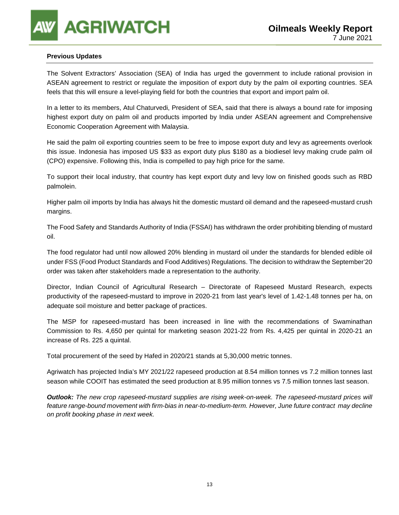#### **Previous Updates**

The Solvent Extractors' Association (SEA) of India has urged the government to include rational provision in ASEAN agreement to restrict or regulate the imposition of export duty by the palm oil exporting countries. SEA feels that this will ensure a level-playing field for both the countries that export and import palm oil.

In a letter to its members, Atul Chaturvedi, President of SEA, said that there is always a bound rate for imposing highest export duty on palm oil and products imported by India under ASEAN agreement and Comprehensive Economic Cooperation Agreement with Malaysia.

He said the palm oil exporting countries seem to be free to impose export duty and levy as agreements overlook this issue. Indonesia has imposed US \$33 as export duty plus \$180 as a biodiesel levy making crude palm oil (CPO) expensive. Following this, India is compelled to pay high price for the same.

To support their local industry, that country has kept export duty and levy low on finished goods such as RBD palmolein.

Higher palm oil imports by India has always hit the domestic mustard oil demand and the rapeseed-mustard crush margins.

The Food Safety and Standards Authority of India (FSSAI) has withdrawn the order prohibiting blending of mustard oil.

The food regulator had until now allowed 20% blending in mustard oil under the standards for blended edible oil under FSS (Food Product Standards and Food Additives) Regulations. The decision to withdraw the September'20 order was taken after stakeholders made a representation to the authority.

Director, Indian Council of Agricultural Research – Directorate of Rapeseed Mustard Research, expects productivity of the rapeseed-mustard to improve in 2020-21 from last year's level of 1.42-1.48 tonnes per ha, on adequate soil moisture and better package of practices.

The MSP for rapeseed-mustard has been increased in line with the recommendations of Swaminathan Commission to Rs. 4,650 per quintal for marketing season 2021-22 from Rs. 4,425 per quintal in 2020-21 an increase of Rs. 225 a quintal.

Total procurement of the seed by Hafed in 2020/21 stands at 5,30,000 metric tonnes.

Agriwatch has projected India's MY 2021/22 rapeseed production at 8.54 million tonnes vs 7.2 million tonnes last season while COOIT has estimated the seed production at 8.95 million tonnes vs 7.5 million tonnes last season.

**Outlook:** The new crop rapeseed-mustard supplies are rising week-on-week. The rapeseed-mustard prices will feature range-bound movement with firm-bias in near-to-medium-term. However, June future contract may decline on profit booking phase in next week.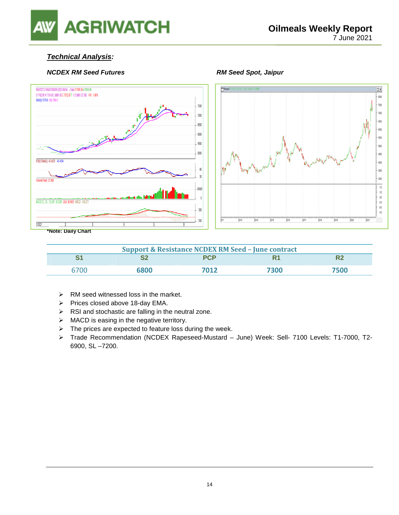# **AGRIWATCH**

#### **Technical Analysis:**

#### **NCDEX RM Seed Futures All research RM Seed Spot, Jaipur**





**\*Note: Daily Chart** 

| <b>Support &amp; Resistance NCDEX RM Seed - June contract</b> |      |            |      |      |  |  |
|---------------------------------------------------------------|------|------------|------|------|--|--|
| $\mathbf{C}$                                                  |      | <b>PCP</b> | R1   |      |  |  |
| 6700                                                          | 6800 | 7012       | 7300 | 7500 |  |  |

- $\triangleright$  RM seed witnessed loss in the market.
- $\triangleright$  Prices closed above 18-day EMA.
- $\triangleright$  RSI and stochastic are falling in the neutral zone.
- $\triangleright$  MACD is easing in the negative territory.
- $\triangleright$  The prices are expected to feature loss during the week.
- Trade Recommendation (NCDEX Rapeseed-Mustard June) Week: Sell- 7100 Levels: T1-7000, T2- 6900, SL –7200.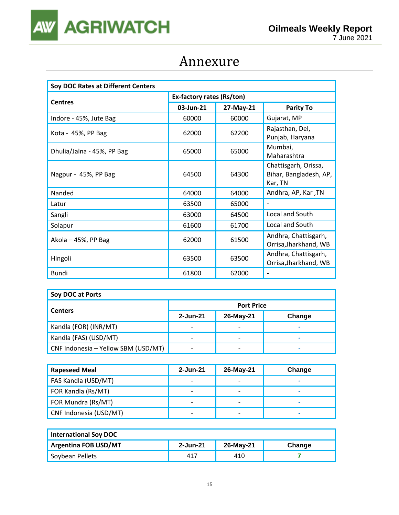

### Annexure

| Soy DOC Rates at Different Centers |                           |           |                                                           |  |  |
|------------------------------------|---------------------------|-----------|-----------------------------------------------------------|--|--|
|                                    | Ex-factory rates (Rs/ton) |           |                                                           |  |  |
| <b>Centres</b>                     | 03-Jun-21                 | 27-May-21 | <b>Parity To</b>                                          |  |  |
| Indore - 45%, Jute Bag             | 60000                     | 60000     | Gujarat, MP                                               |  |  |
| Kota - 45%, PP Bag                 | 62000                     | 62200     | Rajasthan, Del,<br>Punjab, Haryana                        |  |  |
| Dhulia/Jalna - 45%, PP Bag         | 65000                     | 65000     | Mumbai,<br>Maharashtra                                    |  |  |
| Nagpur - 45%, PP Bag               | 64500                     | 64300     | Chattisgarh, Orissa,<br>Bihar, Bangladesh, AP,<br>Kar, TN |  |  |
| Nanded                             | 64000                     | 64000     | Andhra, AP, Kar, TN                                       |  |  |
| Latur                              | 63500                     | 65000     | -                                                         |  |  |
| Sangli                             | 63000                     | 64500     | Local and South                                           |  |  |
| Solapur                            | 61600                     | 61700     | Local and South                                           |  |  |
| Akola - 45%, PP Bag                | 62000                     | 61500     | Andhra, Chattisgarh,<br>Orrisa, Jharkhand, WB             |  |  |
| Hingoli                            | 63500                     | 63500     | Andhra, Chattisgarh,<br>Orrisa, Jharkhand, WB             |  |  |
| Bundi                              | 61800                     | 62000     |                                                           |  |  |

| Soy DOC at Ports                    |                          |                          |        |  |  |
|-------------------------------------|--------------------------|--------------------------|--------|--|--|
| <b>Centers</b>                      | <b>Port Price</b>        |                          |        |  |  |
|                                     | 2-Jun-21                 | 26-May-21                | Change |  |  |
| Kandla (FOR) (INR/MT)               | $\overline{\phantom{0}}$ | $\overline{\phantom{0}}$ | -      |  |  |
| Kandla (FAS) (USD/MT)               | $\overline{\phantom{0}}$ | -                        |        |  |  |
| CNF Indonesia - Yellow SBM (USD/MT) |                          | -                        | -      |  |  |

| <b>Rapeseed Meal</b>   | 2-Jun-21                 | 26-May-21                | Change |
|------------------------|--------------------------|--------------------------|--------|
| FAS Kandla (USD/MT)    |                          | -                        |        |
| FOR Kandla (Rs/MT)     | $\overline{\phantom{0}}$ | $\overline{\phantom{0}}$ |        |
| FOR Mundra (Rs/MT)     |                          | -                        |        |
| CNF Indonesia (USD/MT) | -                        | $\overline{\phantom{0}}$ | -      |

| <b>International Soy DOC</b> |          |           |        |
|------------------------------|----------|-----------|--------|
| <b>Argentina FOB USD/MT</b>  | 2-Jun-21 | 26-May-21 | Change |
| Soybean Pellets              | 417      | 410       |        |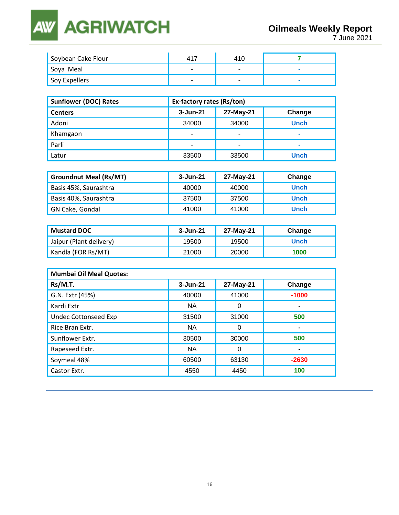### **AGRIWATCH AW**

| Soybean Cake Flour | 41                       | 410                      |  |
|--------------------|--------------------------|--------------------------|--|
| 'Soya Meal         | $\overline{\phantom{0}}$ | $\overline{\phantom{0}}$ |  |
| Soy Expellers      | $\overline{\phantom{0}}$ | $\overline{\phantom{0}}$ |  |

| <b>Sunflower (DOC) Rates</b> | Ex-factory rates (Rs/ton) |                          |             |  |
|------------------------------|---------------------------|--------------------------|-------------|--|
| <b>Centers</b>               | $3 - Jun-21$              | 27-May-21                | Change      |  |
| Adoni                        | 34000                     | 34000                    | <b>Unch</b> |  |
| Khamgaon                     | $\overline{\phantom{0}}$  | $\overline{\phantom{a}}$ | -           |  |
| Parli                        | $\overline{\phantom{0}}$  | $\overline{ }$           |             |  |
| Latur                        | 33500                     | 33500                    | <b>Unch</b> |  |

| <b>Groundnut Meal (Rs/MT)</b> | 3-Jun-21 | 27-May-21 | Change      |
|-------------------------------|----------|-----------|-------------|
| Basis 45%, Saurashtra         | 40000    | 40000     | <b>Unch</b> |
| Basis 40%, Saurashtra         | 37500    | 37500     | <b>Unch</b> |
| GN Cake, Gondal               | 41000    | 41000     | <b>Unch</b> |

| <b>Mustard DOC</b>      | 3-Jun-21 | 27-May-21 | Change      |
|-------------------------|----------|-----------|-------------|
| Jaipur (Plant delivery) | 19500    | 19500     | <b>Unch</b> |
| Kandla (FOR Rs/MT)      | 21000    | 20000     | 1000        |

| <b>Mumbai Oil Meal Quotes:</b> |              |           |         |
|--------------------------------|--------------|-----------|---------|
| Rs/M.T.                        | $3 - Jun-21$ | 27-May-21 | Change  |
| G.N. Extr (45%)                | 40000        | 41000     | $-1000$ |
| Kardi Extr                     | <b>NA</b>    | 0         | ۰       |
| <b>Undec Cottonseed Exp</b>    | 31500        | 31000     | 500     |
| Rice Bran Extr.                | <b>NA</b>    | 0         |         |
| Sunflower Extr.                | 30500        | 30000     | 500     |
| Rapeseed Extr.                 | <b>NA</b>    | 0         |         |
| Soymeal 48%                    | 60500        | 63130     | $-2630$ |
| Castor Extr.                   | 4550         | 4450      | 100     |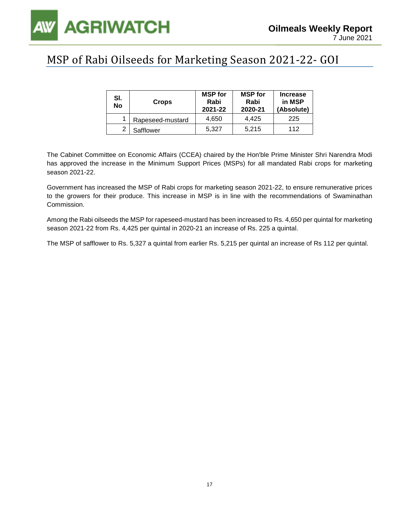

### MSP of Rabi Oilseeds for Marketing Season 2021-22- GOI

| SI.<br>No | <b>Crops</b>     | <b>MSP</b> for<br>Rabi<br>2021-22 | <b>MSP</b> for<br>Rabi<br>2020-21 | <b>Increase</b><br>in MSP<br>(Absolute) |
|-----------|------------------|-----------------------------------|-----------------------------------|-----------------------------------------|
|           | Rapeseed-mustard | 4.650                             | 4.425                             | 225                                     |
| ົ         | Safflower        | 5.327                             | 5.215                             | 112                                     |

The Cabinet Committee on Economic Affairs (CCEA) chaired by the Hon'ble Prime Minister Shri Narendra Modi has approved the increase in the Minimum Support Prices (MSPs) for all mandated Rabi crops for marketing season 2021-22.

Government has increased the MSP of Rabi crops for marketing season 2021-22, to ensure remunerative prices to the growers for their produce. This increase in MSP is in line with the recommendations of Swaminathan Commission.

Among the Rabi oilseeds the MSP for rapeseed-mustard has been increased to Rs. 4,650 per quintal for marketing season 2021-22 from Rs. 4,425 per quintal in 2020-21 an increase of Rs. 225 a quintal.

The MSP of safflower to Rs. 5,327 a quintal from earlier Rs. 5,215 per quintal an increase of Rs 112 per quintal.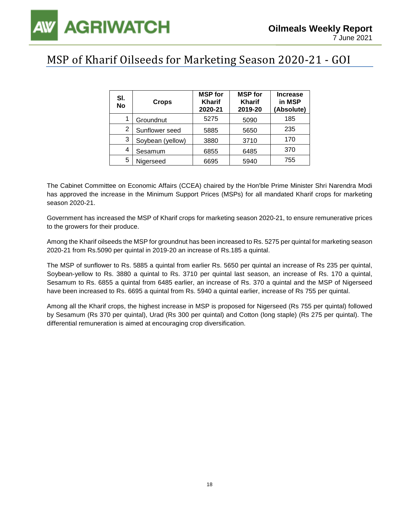### MSP of Kharif Oilseeds for Marketing Season 2020-21 - GOI

| SI.<br>No | <b>Crops</b>     | <b>MSP</b> for<br><b>Kharif</b><br>2020-21 | <b>MSP</b> for<br><b>Kharif</b><br>2019-20 | <b>Increase</b><br>in MSP<br>(Absolute) |
|-----------|------------------|--------------------------------------------|--------------------------------------------|-----------------------------------------|
|           | Groundnut        | 5275                                       | 5090                                       | 185                                     |
| 2         | Sunflower seed   | 5885                                       | 5650                                       | 235                                     |
| 3         | Soybean (yellow) | 3880                                       | 3710                                       | 170                                     |
| 4         | Sesamum          | 6855                                       | 6485                                       | 370                                     |
| 5         | Nigerseed        | 6695                                       | 5940                                       | 755                                     |

The Cabinet Committee on Economic Affairs (CCEA) chaired by the Hon'ble Prime Minister Shri Narendra Modi has approved the increase in the Minimum Support Prices (MSPs) for all mandated Kharif crops for marketing season 2020-21.

Government has increased the MSP of Kharif crops for marketing season 2020-21, to ensure remunerative prices to the growers for their produce.

Among the Kharif oilseeds the MSP for groundnut has been increased to Rs. 5275 per quintal for marketing season 2020-21 from Rs.5090 per quintal in 2019-20 an increase of Rs.185 a quintal.

The MSP of sunflower to Rs. 5885 a quintal from earlier Rs. 5650 per quintal an increase of Rs 235 per quintal, Soybean-yellow to Rs. 3880 a quintal to Rs. 3710 per quintal last season, an increase of Rs. 170 a quintal, Sesamum to Rs. 6855 a quintal from 6485 earlier, an increase of Rs. 370 a quintal and the MSP of Nigerseed have been increased to Rs. 6695 a quintal from Rs. 5940 a quintal earlier, increase of Rs 755 per quintal.

Among all the Kharif crops, the highest increase in MSP is proposed for Nigerseed (Rs 755 per quintal) followed by Sesamum (Rs 370 per quintal), Urad (Rs 300 per quintal) and Cotton (long staple) (Rs 275 per quintal). The differential remuneration is aimed at encouraging crop diversification.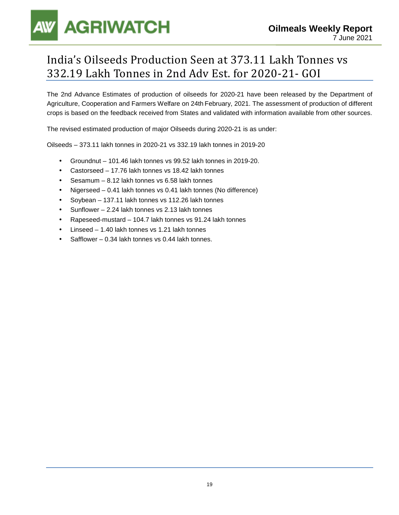# **AGRIWATCH**

### India's Oilseeds Production Seen at 373.11 Lakh Tonnes vs 332.19 Lakh Tonnes in 2nd Adv Est. for 2020-21- GOI

The 2nd Advance Estimates of production of oilseeds for 2020-21 have been released by the Department of Agriculture, Cooperation and Farmers Welfare on 24th February, 2021. The assessment of production of different crops is based on the feedback received from States and validated with information available from other sources.

The revised estimated production of major Oilseeds during 2020-21 is as under:

Oilseeds – 373.11 lakh tonnes in 2020-21 vs 332.19 lakh tonnes in 2019-20

- Groundnut 101.46 lakh tonnes vs 99.52 lakh tonnes in 2019-20.
- Castorseed 17.76 lakh tonnes vs 18.42 lakh tonnes
- Sesamum 8.12 lakh tonnes vs 6.58 lakh tonnes
- Nigerseed 0.41 lakh tonnes vs 0.41 lakh tonnes (No difference)
- Soybean 137.11 lakh tonnes vs 112.26 lakh tonnes
- Sunflower 2.24 lakh tonnes vs 2.13 lakh tonnes
- Rapeseed-mustard 104.7 lakh tonnes vs 91.24 lakh tonnes
- Linseed 1.40 lakh tonnes vs 1.21 lakh tonnes
- Safflower 0.34 lakh tonnes vs 0.44 lakh tonnes.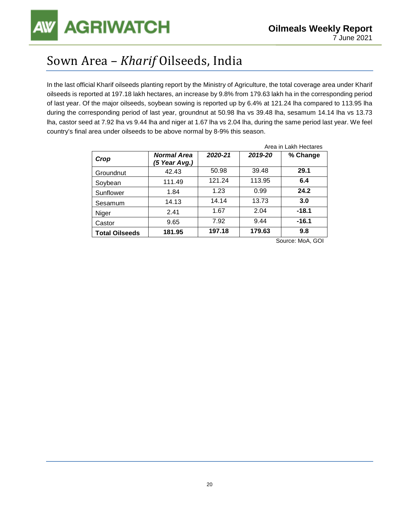### Sown Area – *Kharif* Oilseeds, India

In the last official Kharif oilseeds planting report by the Ministry of Agriculture, the total coverage area under Kharif oilseeds is reported at 197.18 lakh hectares, an increase by 9.8% from 179.63 lakh ha in the corresponding period of last year. Of the major oilseeds, soybean sowing is reported up by 6.4% at 121.24 lha compared to 113.95 lha during the corresponding period of last year, groundnut at 50.98 lha vs 39.48 lha, sesamum 14.14 lha vs 13.73 lha, castor seed at 7.92 lha vs 9.44 lha and niger at 1.67 lha vs 2.04 lha, during the same period last year. We feel country's final area under oilseeds to be above normal by 8-9% this season.

|                       |                                     | Area in Lakh Hectares |         |          |  |
|-----------------------|-------------------------------------|-----------------------|---------|----------|--|
| Crop                  | <b>Normal Area</b><br>(5 Year Avg.) | 2020-21               | 2019-20 | % Change |  |
| Groundnut             | 42.43                               | 50.98                 | 39.48   | 29.1     |  |
| Soybean               | 111.49                              | 121.24                | 113.95  | 6.4      |  |
| Sunflower             | 1.84                                | 1.23                  | 0.99    | 24.2     |  |
| Sesamum               | 14.13                               | 14.14                 | 13.73   | 3.0      |  |
| Niger                 | 2.41                                | 1.67                  | 2.04    | $-18.1$  |  |
| Castor                | 9.65                                | 7.92                  | 9.44    | $-16.1$  |  |
| <b>Total Oilseeds</b> | 181.95                              | 197.18                | 179.63  | 9.8      |  |

Source: MoA, GOI